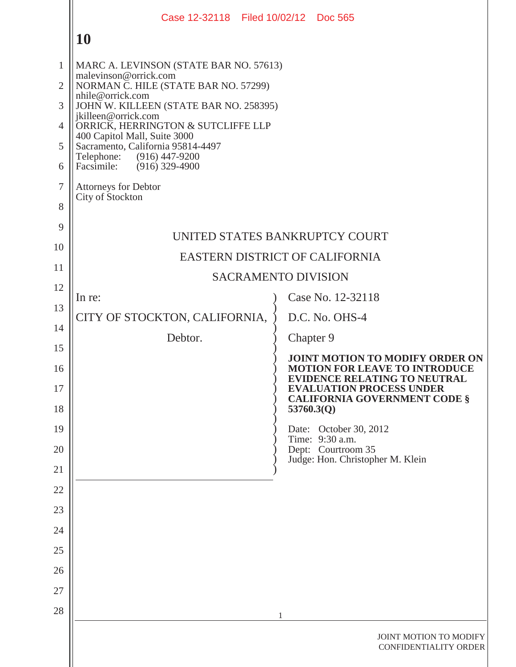|                                | Case 12-32118 Filed 10/02/12 Doc 565                                                                    |                                                                                                                                                       |  |  |  |  |
|--------------------------------|---------------------------------------------------------------------------------------------------------|-------------------------------------------------------------------------------------------------------------------------------------------------------|--|--|--|--|
|                                | <b>10</b>                                                                                               |                                                                                                                                                       |  |  |  |  |
| $\mathbf{1}$<br>$\overline{2}$ | MARC A. LEVINSON (STATE BAR NO. 57613)<br>malevinson@orrick.com<br>NORMAN C. HILE (STATE BAR NO. 57299) |                                                                                                                                                       |  |  |  |  |
| 3                              | nhile@orrick.com                                                                                        |                                                                                                                                                       |  |  |  |  |
| $\overline{4}$                 | JOHN W. KILLEEN (STATE BAR NO. 258395)<br>jkilleen@orrick.com<br>ORRICK, HERRINGTON & SUTCLIFFE LLP     |                                                                                                                                                       |  |  |  |  |
| 5                              | 400 Capitol Mall, Suite 3000<br>Sacramento, California 95814-4497                                       |                                                                                                                                                       |  |  |  |  |
| 6                              | (916) 447-9200<br>Telephone:<br>Facsimile:<br>$(916)$ 329-4900                                          |                                                                                                                                                       |  |  |  |  |
| $\overline{7}$                 | <b>Attorneys for Debtor</b><br>City of Stockton                                                         |                                                                                                                                                       |  |  |  |  |
| 8                              |                                                                                                         |                                                                                                                                                       |  |  |  |  |
| 9                              |                                                                                                         | UNITED STATES BANKRUPTCY COURT                                                                                                                        |  |  |  |  |
| 10                             | EASTERN DISTRICT OF CALIFORNIA                                                                          |                                                                                                                                                       |  |  |  |  |
| 11                             |                                                                                                         | <b>SACRAMENTO DIVISION</b>                                                                                                                            |  |  |  |  |
| 12                             | In re:                                                                                                  | Case No. 12-32118                                                                                                                                     |  |  |  |  |
| 13                             | CITY OF STOCKTON, CALIFORNIA,                                                                           | D.C. No. OHS-4                                                                                                                                        |  |  |  |  |
| 14                             | Debtor.                                                                                                 | Chapter 9                                                                                                                                             |  |  |  |  |
| 15                             |                                                                                                         | <b>JOINT MOTION TO MODIFY ORDER ON</b>                                                                                                                |  |  |  |  |
| 16<br>17                       |                                                                                                         | <b>MOTION FOR LEAVE TO INTRODUCE</b><br><b>EVIDENCE RELATING TO NEUTRAL</b><br><b>EVALUATION PROCESS UNDER</b><br><b>CALIFORNIA GOVERNMENT CODE §</b> |  |  |  |  |
| 18                             |                                                                                                         | 53760.3(Q)                                                                                                                                            |  |  |  |  |
| 19                             |                                                                                                         | Date: October 30, 2012<br>Time: 9:30 a.m.                                                                                                             |  |  |  |  |
| 20<br>21                       |                                                                                                         | Dept: Courtroom 35<br>Judge: Hon. Christopher M. Klein                                                                                                |  |  |  |  |
| 22                             |                                                                                                         |                                                                                                                                                       |  |  |  |  |
| 23                             |                                                                                                         |                                                                                                                                                       |  |  |  |  |
| 24                             |                                                                                                         |                                                                                                                                                       |  |  |  |  |
| 25                             |                                                                                                         |                                                                                                                                                       |  |  |  |  |
| 26                             |                                                                                                         |                                                                                                                                                       |  |  |  |  |
| 27                             |                                                                                                         |                                                                                                                                                       |  |  |  |  |
| 28                             |                                                                                                         | 1                                                                                                                                                     |  |  |  |  |
|                                |                                                                                                         | JOINT MOTION TO MODIFY<br><b>CONFIDENTIALITY ORDER</b>                                                                                                |  |  |  |  |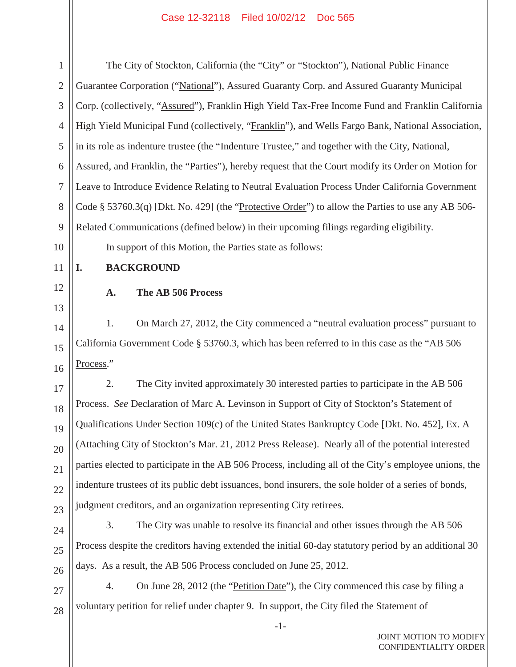| $\mathbf{1}$   | The City of Stockton, California (the "City" or "Stockton"), National Public Finance                   |  |  |  |
|----------------|--------------------------------------------------------------------------------------------------------|--|--|--|
| $\overline{2}$ | Guarantee Corporation ("National"), Assured Guaranty Corp. and Assured Guaranty Municipal              |  |  |  |
| 3              | Corp. (collectively, "Assured"), Franklin High Yield Tax-Free Income Fund and Franklin California      |  |  |  |
| $\overline{4}$ | High Yield Municipal Fund (collectively, "Franklin"), and Wells Fargo Bank, National Association,      |  |  |  |
| 5              | in its role as indenture trustee (the "Indenture Trustee," and together with the City, National,       |  |  |  |
| 6              | Assured, and Franklin, the "Parties"), hereby request that the Court modify its Order on Motion for    |  |  |  |
| $\overline{7}$ | Leave to Introduce Evidence Relating to Neutral Evaluation Process Under California Government         |  |  |  |
| 8              | Code $\S$ 53760.3(q) [Dkt. No. 429] (the "Protective Order") to allow the Parties to use any AB 506-   |  |  |  |
| 9              | Related Communications (defined below) in their upcoming filings regarding eligibility.                |  |  |  |
| 10             | In support of this Motion, the Parties state as follows:                                               |  |  |  |
| 11             | <b>BACKGROUND</b><br>I.                                                                                |  |  |  |
| 12             | The AB 506 Process<br>A.                                                                               |  |  |  |
| 13             |                                                                                                        |  |  |  |
| 14             | On March 27, 2012, the City commenced a "neutral evaluation process" pursuant to<br>1.                 |  |  |  |
| 15             | California Government Code § 53760.3, which has been referred to in this case as the "AB 506           |  |  |  |
| 16             | Process."                                                                                              |  |  |  |
| 17             | 2.<br>The City invited approximately 30 interested parties to participate in the AB 506                |  |  |  |
| 18             | Process. See Declaration of Marc A. Levinson in Support of City of Stockton's Statement of             |  |  |  |
| 19             | Qualifications Under Section 109(c) of the United States Bankruptcy Code [Dkt. No. 452], Ex. A         |  |  |  |
| 20             | (Attaching City of Stockton's Mar. 21, 2012 Press Release). Nearly all of the potential interested     |  |  |  |
| 21             | parties elected to participate in the AB 506 Process, including all of the City's employee unions, the |  |  |  |
| 22             | indenture trustees of its public debt issuances, bond insurers, the sole holder of a series of bonds,  |  |  |  |
| 23             | judgment creditors, and an organization representing City retirees.                                    |  |  |  |
| 24             | The City was unable to resolve its financial and other issues through the AB 506<br>3.                 |  |  |  |
| 25             | Process despite the creditors having extended the initial 60-day statutory period by an additional 30  |  |  |  |
| 26             | days. As a result, the AB 506 Process concluded on June 25, 2012.                                      |  |  |  |
| 27             | On June 28, 2012 (the "Petition Date"), the City commenced this case by filing a<br>4.                 |  |  |  |
| 28             | voluntary petition for relief under chapter 9. In support, the City filed the Statement of             |  |  |  |
|                | $-1-$                                                                                                  |  |  |  |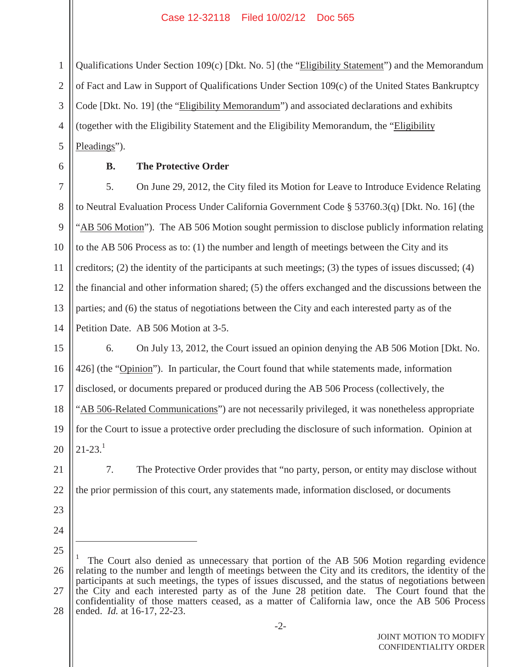Qualifications Under Section 109(c) [Dkt. No. 5] (the "Eligibility Statement") and the Memorandum of Fact and Law in Support of Qualifications Under Section 109(c) of the United States Bankruptcy Code [Dkt. No. 19] (the "Eligibility Memorandum") and associated declarations and exhibits (together with the Eligibility Statement and the Eligibility Memorandum, the "Eligibility Pleadings").

6

1

2

3

4

5

#### **B. The Protective Order**

7 8 9 10 11 12 13 14 5. On June 29, 2012, the City filed its Motion for Leave to Introduce Evidence Relating to Neutral Evaluation Process Under California Government Code § 53760.3(q) [Dkt. No. 16] (the "AB 506 Motion"). The AB 506 Motion sought permission to disclose publicly information relating to the AB 506 Process as to: (1) the number and length of meetings between the City and its creditors; (2) the identity of the participants at such meetings; (3) the types of issues discussed; (4) the financial and other information shared; (5) the offers exchanged and the discussions between the parties; and (6) the status of negotiations between the City and each interested party as of the Petition Date. AB 506 Motion at 3-5.

15 16 17 18 19 20 6. On July 13, 2012, the Court issued an opinion denying the AB 506 Motion [Dkt. No. 426] (the "Opinion"). In particular, the Court found that while statements made, information disclosed, or documents prepared or produced during the AB 506 Process (collectively, the "AB 506-Related Communications") are not necessarily privileged, it was nonetheless appropriate for the Court to issue a protective order precluding the disclosure of such information. Opinion at  $21 - 23$ <sup>1</sup>

7. The Protective Order provides that "no party, person, or entity may disclose without the prior permission of this court, any statements made, information disclosed, or documents

23

22

21

24 25

<sup>26</sup> 27 28 The Court also denied as unnecessary that portion of the AB 506 Motion regarding evidence relating to the number and length of meetings between the City and its creditors, the identity of the participants at such meetings, the types of issues discussed, and the status of negotiations between the City and each interested party as of the June 28 petition date. The Court found that the confidentiality of those matters ceased, as a matter of California law, once the AB 506 Process ended. *Id.* at 16-17, 22-23.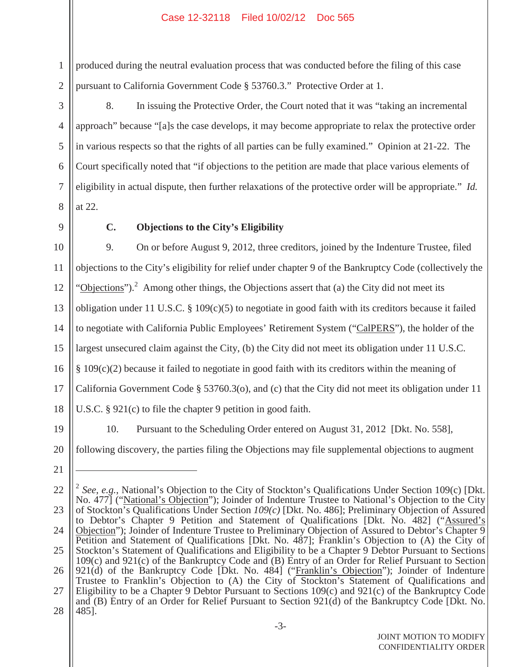2 produced during the neutral evaluation process that was conducted before the filing of this case pursuant to California Government Code § 53760.3." Protective Order at 1.

8. In issuing the Protective Order, the Court noted that it was "taking an incremental approach" because "[a]s the case develops, it may become appropriate to relax the protective order in various respects so that the rights of all parties can be fully examined." Opinion at 21-22. The Court specifically noted that "if objections to the petition are made that place various elements of eligibility in actual dispute, then further relaxations of the protective order will be appropriate." *Id.* at 22.

8 9

1

3

4

5

6

7

## **C. Objections to the City's Eligibility**

10 11 12 13 14 15 16 17 18 19 20 9. On or before August 9, 2012, three creditors, joined by the Indenture Trustee, filed objections to the City's eligibility for relief under chapter 9 of the Bankruptcy Code (collectively the "Objections").<sup>2</sup> Among other things, the Objections assert that (a) the City did not meet its obligation under 11 U.S.C.  $\S$  109(c)(5) to negotiate in good faith with its creditors because it failed to negotiate with California Public Employees' Retirement System ("CalPERS"), the holder of the largest unsecured claim against the City, (b) the City did not meet its obligation under 11 U.S.C. § 109(c)(2) because it failed to negotiate in good faith with its creditors within the meaning of California Government Code § 53760.3(o), and (c) that the City did not meet its obligation under 11 U.S.C. § 921(c) to file the chapter 9 petition in good faith. 10. Pursuant to the Scheduling Order entered on August 31, 2012 [Dkt. No. 558], following discovery, the parties filing the Objections may file supplemental objections to augment

21

<sup>22</sup> 23 24 25 26 27 28 <sup>2</sup> *See*, *e.g.*, National's Objection to the City of Stockton's Qualifications Under Section 109(c) [Dkt. No. 477] ("National's Objection"); Joinder of Indenture Trustee to National's Objection to the City of Stockton's Qualifications Under Section *109(c)* [Dkt. No. 486]; Preliminary Objection of Assured to Debtor's Chapter 9 Petition and Statement of Qualifications [Dkt. No. 482] ("Assured's Objection"); Joinder of Indenture Trustee to Preliminary Objection of Assured to Debtor's Chapter 9 Petition and Statement of Qualifications [Dkt. No. 487]; Franklin's Objection to (A) the City of Stockton's Statement of Qualifications and Eligibility to be a Chapter 9 Debtor Pursuant to Sections 109(c) and 921(c) of the Bankruptcy Code and (B) Entry of an Order for Relief Pursuant to Section 921(d) of the Bankruptcy Code [Dkt. No. 484] ("Franklin's Objection"); Joinder of Indenture Trustee to Franklin's Objection to (A) the City of Stockton's Statement of Qualifications and Eligibility to be a Chapter 9 Debtor Pursuant to Sections 109(c) and 921(c) of the Bankruptcy Code and (B) Entry of an Order for Relief Pursuant to Section 921(d) of the Bankruptcy Code [Dkt. No. 485].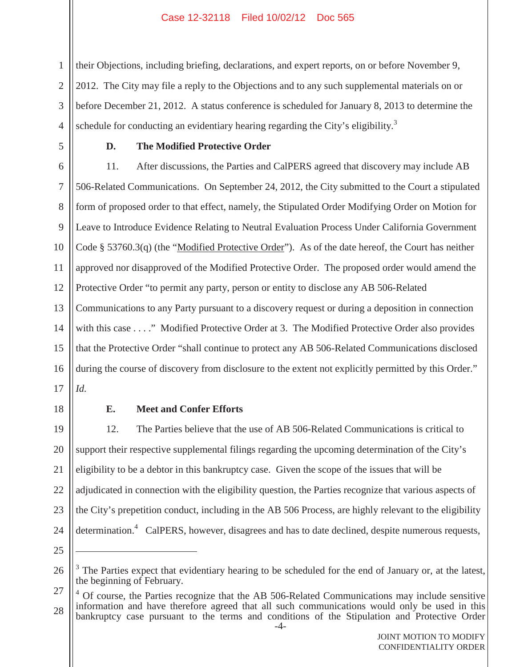their Objections, including briefing, declarations, and expert reports, on or before November 9, 2012. The City may file a reply to the Objections and to any such supplemental materials on or before December 21, 2012. A status conference is scheduled for January 8, 2013 to determine the schedule for conducting an evidentiary hearing regarding the City's eligibility.<sup>3</sup>

5

1

2

3

4

#### **D. The Modified Protective Order**

6 7 8 9 10 11 12 13 14 15 16 17 11. After discussions, the Parties and CalPERS agreed that discovery may include AB 506-Related Communications. On September 24, 2012, the City submitted to the Court a stipulated form of proposed order to that effect, namely, the Stipulated Order Modifying Order on Motion for Leave to Introduce Evidence Relating to Neutral Evaluation Process Under California Government Code § 53760.3(q) (the "Modified Protective Order"). As of the date hereof, the Court has neither approved nor disapproved of the Modified Protective Order. The proposed order would amend the Protective Order "to permit any party, person or entity to disclose any AB 506-Related Communications to any Party pursuant to a discovery request or during a deposition in connection with this case . . . ." Modified Protective Order at 3. The Modified Protective Order also provides that the Protective Order "shall continue to protect any AB 506-Related Communications disclosed during the course of discovery from disclosure to the extent not explicitly permitted by this Order." *Id.*

18

#### **E. Meet and Confer Efforts**

19 20 21 22 23 24 12. The Parties believe that the use of AB 506-Related Communications is critical to support their respective supplemental filings regarding the upcoming determination of the City's eligibility to be a debtor in this bankruptcy case. Given the scope of the issues that will be adjudicated in connection with the eligibility question, the Parties recognize that various aspects of the City's prepetition conduct, including in the AB 506 Process, are highly relevant to the eligibility determination.<sup>4</sup> CalPERS, however, disagrees and has to date declined, despite numerous requests,

<sup>25</sup>

<sup>26</sup>  $3<sup>3</sup>$  The Parties expect that evidentiary hearing to be scheduled for the end of January or, at the latest, the beginning of February.

<sup>27</sup> 28 -4- <sup>4</sup> Of course, the Parties recognize that the AB 506-Related Communications may include sensitive information and have therefore agreed that all such communications would only be used in this bankruptcy case pursuant to the terms and conditions of the Stipulation and Protective Order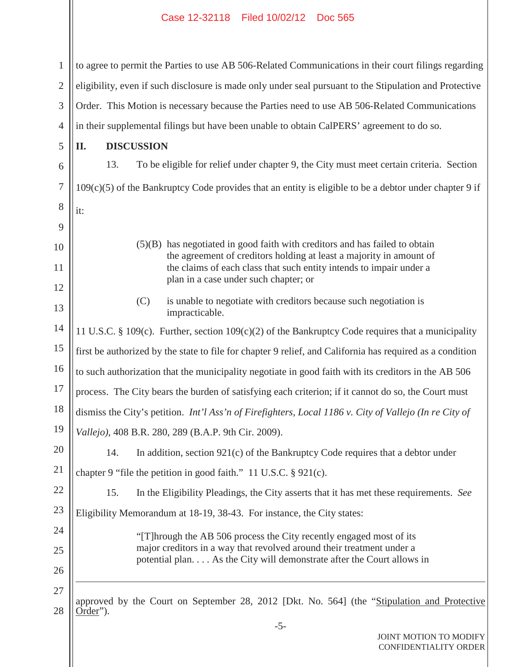1 2 3 4 to agree to permit the Parties to use AB 506-Related Communications in their court filings regarding eligibility, even if such disclosure is made only under seal pursuant to the Stipulation and Protective Order. This Motion is necessary because the Parties need to use AB 506-Related Communications in their supplemental filings but have been unable to obtain CalPERS' agreement to do so.

5

6

7

8

it:

9

10

11

12

13

14

15

16

17

20

21

24

25

26

27

### **II. DISCUSSION**

13. To be eligible for relief under chapter 9, the City must meet certain criteria. Section  $109(c)(5)$  of the Bankruptcy Code provides that an entity is eligible to be a debtor under chapter 9 if

- (5)(B) has negotiated in good faith with creditors and has failed to obtain the agreement of creditors holding at least a majority in amount of the claims of each class that such entity intends to impair under a plan in a case under such chapter; or
- (C) is unable to negotiate with creditors because such negotiation is impracticable.

11 U.S.C. § 109(c). Further, section  $109(c)(2)$  of the Bankruptcy Code requires that a municipality first be authorized by the state to file for chapter 9 relief, and California has required as a condition to such authorization that the municipality negotiate in good faith with its creditors in the AB 506 process. The City bears the burden of satisfying each criterion; if it cannot do so, the Court must

18 dismiss the City's petition. *Int'l Ass'n of Firefighters, Local 1186 v. City of Vallejo (In re City of*

19 *Vallejo)*, 408 B.R. 280, 289 (B.A.P. 9th Cir. 2009).

14. In addition, section 921(c) of the Bankruptcy Code requires that a debtor under

chapter 9 "file the petition in good faith." 11 U.S.C. § 921(c).

22 23 15. In the Eligibility Pleadings, the City asserts that it has met these requirements. *See* Eligibility Memorandum at 18-19, 38-43. For instance, the City states:

> "[T]hrough the AB 506 process the City recently engaged most of its major creditors in a way that revolved around their treatment under a potential plan. . . . As the City will demonstrate after the Court allows in

28 approved by the Court on September 28, 2012 [Dkt. No. 564] (the "Stipulation and Protective Order").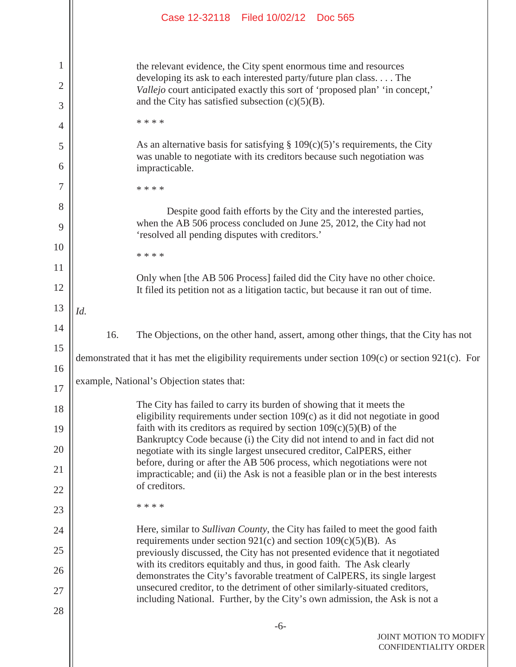|        |                                                                                                                                                   | Case 12-32118 Filed 10/02/12 Doc 565                                                                                                                                         |  |  |  |  |  |
|--------|---------------------------------------------------------------------------------------------------------------------------------------------------|------------------------------------------------------------------------------------------------------------------------------------------------------------------------------|--|--|--|--|--|
| 1      |                                                                                                                                                   | the relevant evidence, the City spent enormous time and resources                                                                                                            |  |  |  |  |  |
| 2      | developing its ask to each interested party/future plan class The<br>Vallejo court anticipated exactly this sort of 'proposed plan' 'in concept,' |                                                                                                                                                                              |  |  |  |  |  |
| 3      |                                                                                                                                                   | and the City has satisfied subsection $(c)(5)(B)$ .                                                                                                                          |  |  |  |  |  |
| 4      |                                                                                                                                                   | * * * *                                                                                                                                                                      |  |  |  |  |  |
| 5<br>6 |                                                                                                                                                   | As an alternative basis for satisfying $\S 109(c)(5)$ 's requirements, the City<br>was unable to negotiate with its creditors because such negotiation was<br>impracticable. |  |  |  |  |  |
| 7      |                                                                                                                                                   | * * * *                                                                                                                                                                      |  |  |  |  |  |
| 8      |                                                                                                                                                   |                                                                                                                                                                              |  |  |  |  |  |
| 9      | Despite good faith efforts by the City and the interested parties,<br>when the AB 506 process concluded on June 25, 2012, the City had not        |                                                                                                                                                                              |  |  |  |  |  |
| 10     |                                                                                                                                                   | 'resolved all pending disputes with creditors.'                                                                                                                              |  |  |  |  |  |
| 11     |                                                                                                                                                   | * * * *                                                                                                                                                                      |  |  |  |  |  |
| 12     |                                                                                                                                                   | Only when [the AB 506 Process] failed did the City have no other choice.<br>It filed its petition not as a litigation tactic, but because it ran out of time.                |  |  |  |  |  |
| 13     | Id.                                                                                                                                               |                                                                                                                                                                              |  |  |  |  |  |
| 14     | 16.                                                                                                                                               | The Objections, on the other hand, assert, among other things, that the City has not                                                                                         |  |  |  |  |  |
| 15     |                                                                                                                                                   | demonstrated that it has met the eligibility requirements under section 109(c) or section 921(c). For                                                                        |  |  |  |  |  |
| 16     |                                                                                                                                                   |                                                                                                                                                                              |  |  |  |  |  |
| 17     |                                                                                                                                                   | example, National's Objection states that:                                                                                                                                   |  |  |  |  |  |
| 18     |                                                                                                                                                   | The City has failed to carry its burden of showing that it meets the<br>eligibility requirements under section $109(c)$ as it did not negotiate in good                      |  |  |  |  |  |
| 19     |                                                                                                                                                   | faith with its creditors as required by section $109(c)(5)(B)$ of the                                                                                                        |  |  |  |  |  |
| 20     |                                                                                                                                                   | Bankruptcy Code because (i) the City did not intend to and in fact did not<br>negotiate with its single largest unsecured creditor, CalPERS, either                          |  |  |  |  |  |
| 21     |                                                                                                                                                   | before, during or after the AB 506 process, which negotiations were not<br>impracticable; and (ii) the Ask is not a feasible plan or in the best interests                   |  |  |  |  |  |
| 22     |                                                                                                                                                   | of creditors.                                                                                                                                                                |  |  |  |  |  |
| 23     |                                                                                                                                                   | * * * *                                                                                                                                                                      |  |  |  |  |  |
| 24     |                                                                                                                                                   | Here, similar to Sullivan County, the City has failed to meet the good faith                                                                                                 |  |  |  |  |  |
| 25     |                                                                                                                                                   | requirements under section $921(c)$ and section $109(c)(5)(B)$ . As<br>previously discussed, the City has not presented evidence that it negotiated                          |  |  |  |  |  |
| 26     |                                                                                                                                                   | with its creditors equitably and thus, in good faith. The Ask clearly<br>demonstrates the City's favorable treatment of CalPERS, its single largest                          |  |  |  |  |  |
| 27     |                                                                                                                                                   | unsecured creditor, to the detriment of other similarly-situated creditors,<br>including National. Further, by the City's own admission, the Ask is not a                    |  |  |  |  |  |
| 28     |                                                                                                                                                   |                                                                                                                                                                              |  |  |  |  |  |
|        |                                                                                                                                                   | $-6-$<br>JOINT MOTION TO MODIFY<br>CONFIDENTIALITY ORDER                                                                                                                     |  |  |  |  |  |

Ш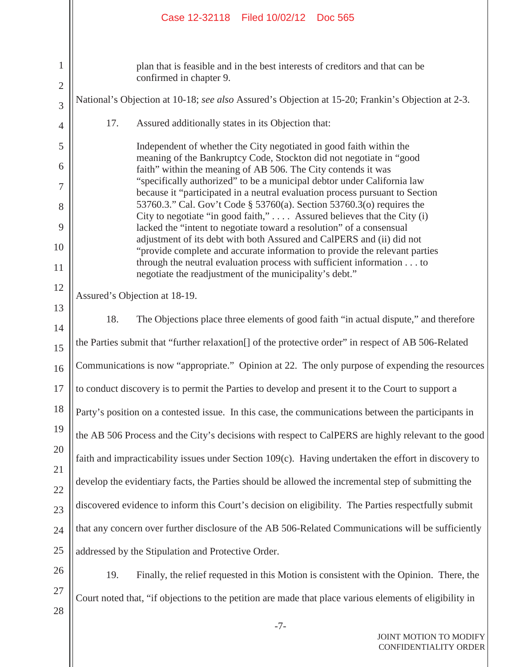|                                     | Case 12-32118 Filed 10/02/12 Doc 565                                                                                                                                                                                             |  |  |  |  |  |  |
|-------------------------------------|----------------------------------------------------------------------------------------------------------------------------------------------------------------------------------------------------------------------------------|--|--|--|--|--|--|
| $\mathbf{1}$<br>$\overline{2}$<br>3 | plan that is feasible and in the best interests of creditors and that can be<br>confirmed in chapter 9.<br>National's Objection at 10-18; see also Assured's Objection at 15-20; Frankin's Objection at 2-3.                     |  |  |  |  |  |  |
| $\overline{4}$                      | 17.<br>Assured additionally states in its Objection that:                                                                                                                                                                        |  |  |  |  |  |  |
| 5<br>6                              | Independent of whether the City negotiated in good faith within the<br>meaning of the Bankruptcy Code, Stockton did not negotiate in "good<br>faith" within the meaning of AB 506. The City contends it was                      |  |  |  |  |  |  |
| 7<br>8                              | "specifically authorized" to be a municipal debtor under California law<br>because it "participated in a neutral evaluation process pursuant to Section<br>53760.3." Cal. Gov't Code § 53760(a). Section 53760.3(o) requires the |  |  |  |  |  |  |
| 9                                   | City to negotiate "in good faith,"  Assured believes that the City (i)                                                                                                                                                           |  |  |  |  |  |  |
| 10                                  | lacked the "intent to negotiate toward a resolution" of a consensual<br>adjustment of its debt with both Assured and CalPERS and (ii) did not                                                                                    |  |  |  |  |  |  |
| 11                                  | "provide complete and accurate information to provide the relevant parties<br>through the neutral evaluation process with sufficient information to<br>negotiate the readjustment of the municipality's debt."                   |  |  |  |  |  |  |
| 12                                  | Assured's Objection at 18-19.                                                                                                                                                                                                    |  |  |  |  |  |  |
| 13<br>14                            | 18.<br>The Objections place three elements of good faith "in actual dispute," and therefore                                                                                                                                      |  |  |  |  |  |  |
| 15                                  | the Parties submit that "further relaxation[] of the protective order" in respect of AB 506-Related                                                                                                                              |  |  |  |  |  |  |
| 16                                  | Communications is now "appropriate." Opinion at 22. The only purpose of expending the resources                                                                                                                                  |  |  |  |  |  |  |
| 17                                  | to conduct discovery is to permit the Parties to develop and present it to the Court to support a                                                                                                                                |  |  |  |  |  |  |
| 18                                  | Party's position on a contested issue. In this case, the communications between the participants in                                                                                                                              |  |  |  |  |  |  |
| 19                                  | the AB 506 Process and the City's decisions with respect to CalPERS are highly relevant to the good                                                                                                                              |  |  |  |  |  |  |
| 20                                  | faith and impracticability issues under Section 109(c). Having undertaken the effort in discovery to                                                                                                                             |  |  |  |  |  |  |
| 21<br>22                            | develop the evidentiary facts, the Parties should be allowed the incremental step of submitting the                                                                                                                              |  |  |  |  |  |  |
| 23                                  | discovered evidence to inform this Court's decision on eligibility. The Parties respectfully submit                                                                                                                              |  |  |  |  |  |  |
| 24                                  | that any concern over further disclosure of the AB 506-Related Communications will be sufficiently                                                                                                                               |  |  |  |  |  |  |
| 25                                  | addressed by the Stipulation and Protective Order.                                                                                                                                                                               |  |  |  |  |  |  |
| 26                                  | 19.<br>Finally, the relief requested in this Motion is consistent with the Opinion. There, the                                                                                                                                   |  |  |  |  |  |  |
| 27<br>28                            | Court noted that, "if objections to the petition are made that place various elements of eligibility in                                                                                                                          |  |  |  |  |  |  |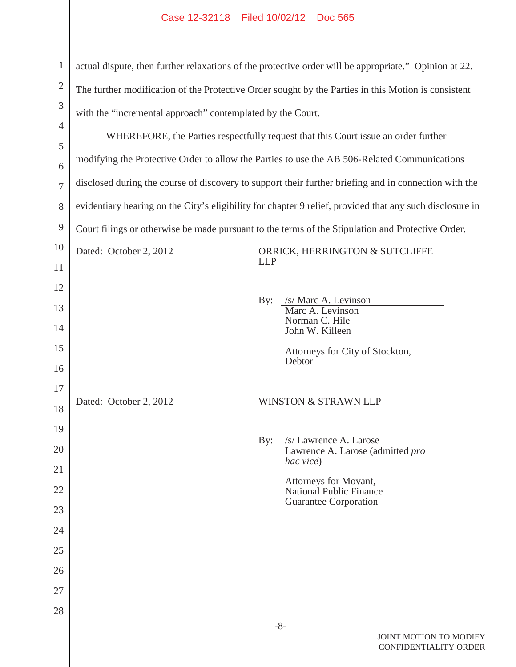| $\mathbf{1}$        | actual dispute, then further relaxations of the protective order will be appropriate." Opinion at 22.    |            |                                                         |  |
|---------------------|----------------------------------------------------------------------------------------------------------|------------|---------------------------------------------------------|--|
| $\overline{2}$      | The further modification of the Protective Order sought by the Parties in this Motion is consistent      |            |                                                         |  |
| 3                   | with the "incremental approach" contemplated by the Court.                                               |            |                                                         |  |
| $\overline{4}$      | WHEREFORE, the Parties respectfully request that this Court issue an order further                       |            |                                                         |  |
| 5                   | modifying the Protective Order to allow the Parties to use the AB 506-Related Communications             |            |                                                         |  |
| 6<br>$\overline{7}$ | disclosed during the course of discovery to support their further briefing and in connection with the    |            |                                                         |  |
|                     |                                                                                                          |            |                                                         |  |
| 8                   | evidentiary hearing on the City's eligibility for chapter 9 relief, provided that any such disclosure in |            |                                                         |  |
| 9                   | Court filings or otherwise be made pursuant to the terms of the Stipulation and Protective Order.        |            |                                                         |  |
| 10                  | Dated: October 2, 2012                                                                                   | <b>LLP</b> | ORRICK, HERRINGTON & SUTCLIFFE                          |  |
| 11                  |                                                                                                          |            |                                                         |  |
| 12                  |                                                                                                          | By:        | /s/ Marc A. Levinson                                    |  |
| 13                  |                                                                                                          |            | Marc A. Levinson<br>Norman C. Hile                      |  |
| 14                  |                                                                                                          |            | John W. Killeen                                         |  |
| 15                  |                                                                                                          |            | Attorneys for City of Stockton,<br>Debtor               |  |
| 16                  |                                                                                                          |            |                                                         |  |
| 17<br>18            | Dated: October 2, 2012                                                                                   |            | <b>WINSTON &amp; STRAWN LLP</b>                         |  |
|                     |                                                                                                          |            |                                                         |  |
| 19<br>20            |                                                                                                          | By:        | /s/ Lawrence A. Larose                                  |  |
| 21                  |                                                                                                          |            | Lawrence A. Larose (admitted pro<br>hac vice)           |  |
| 22                  |                                                                                                          |            | Attorneys for Movant,<br><b>National Public Finance</b> |  |
| 23                  |                                                                                                          |            | <b>Guarantee Corporation</b>                            |  |
| 24                  |                                                                                                          |            |                                                         |  |
| 25                  |                                                                                                          |            |                                                         |  |
| 26                  |                                                                                                          |            |                                                         |  |
| 27                  |                                                                                                          |            |                                                         |  |
| 28                  |                                                                                                          |            |                                                         |  |
|                     |                                                                                                          |            | $-8-$                                                   |  |
|                     |                                                                                                          |            | JOINT MOTION TO MODIFY                                  |  |